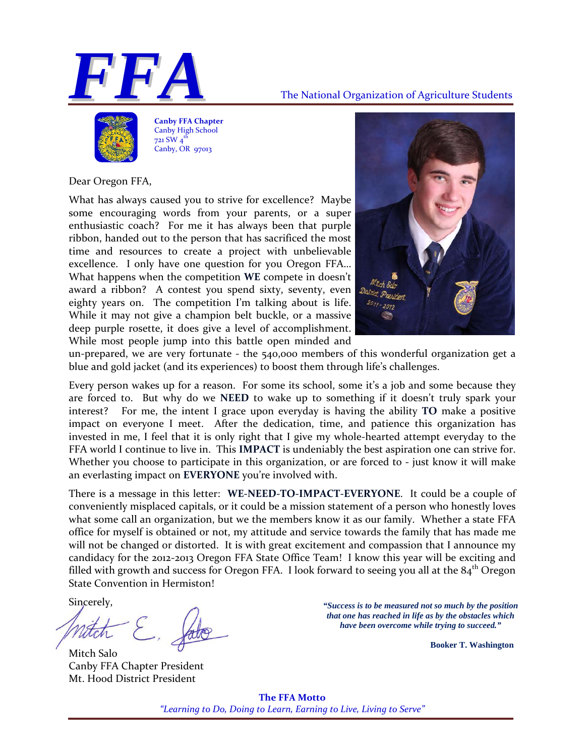



**Canby FFA Chapter** Canby High School 721 SW  $4^t$ Canby, OR 97013

Dear Oregon FFA,

What has always caused you to strive for excellence? Maybe some encouraging words from your parents, or a super enthusiastic coach? For me it has always been that purple ribbon, handed out to the person that has sacrificed the most time and resources to create a project with unbelievable excellence. I only have one question for you Oregon FFA... What happens when the competition **WE** compete in doesn't award a ribbon? A contest you spend sixty, seventy, even eighty years on. The competition I'm talking about is life. While it may not give a champion belt buckle, or a massive deep purple rosette, it does give a level of accomplishment. While most people jump into this battle open minded and



un-prepared, we are very fortunate  $-$  the  $540,000$  members of this wonderful organization get a blue and gold jacket (and its experiences) to boost them through life's challenges.

Every person wakes up for a reason. For some its school, some it's a job and some because they are forced to. But why do we **NEED** to wake up to something if it doesn't truly spark your interest? For me, the intent I grace upon everyday is having the ability **TO** make a positive impact on everyone I meet. After the dedication, time, and patience this organization has invested in me, I feel that it is only right that I give my whole‐hearted attempt everyday to the FFA world I continue to live in. This **IMPACT** is undeniably the best aspiration one can strive for. Whether you choose to participate in this organization, or are forced to - just know it will make an everlasting impact on **EVERYONE** you're involved with.

There is a message in this letter: **WE‐NEED‐TO‐IMPACT‐EVERYONE**. It could be a couple of conveniently misplaced capitals, or it could be a mission statement of a person who honestly loves what some call an organization, but we the members know it as our family. Whether a state FFA office for myself is obtained or not, my attitude and service towards the family that has made me will not be changed or distorted. It is with great excitement and compassion that I announce my candidacy for the 2012‐2013 Oregon FFA State Office Team! I know this year will be exciting and filled with growth and success for Oregon FFA. I look forward to seeing you all at the  $84<sup>th</sup>$  Oregon State Convention in Hermiston!

Mitch Salo Canby FFA Chapter President Mt. Hood District President

Sincerely, *"Success is to be measured not so much by the position that one has reached in life as by the obstacles which have been overcome while trying to succeed."* 

 **Booker T. Washington** 

**The FFA Motto** *"Learning to Do, Doing to Learn, Earning to Live, Living to Serve"*